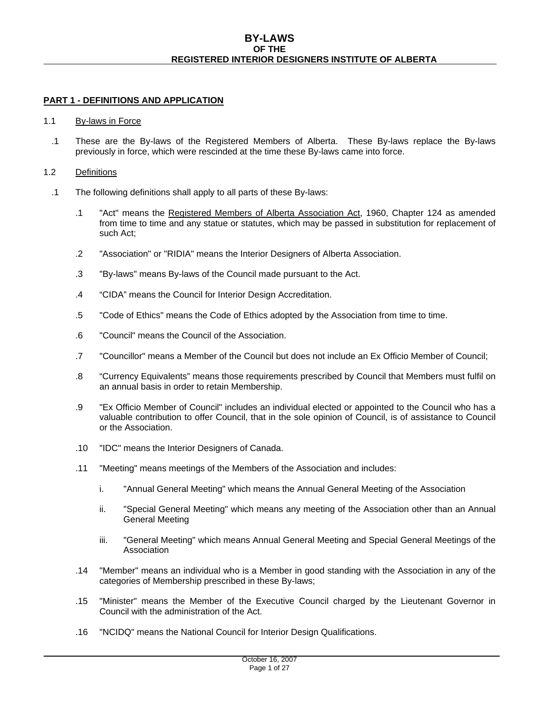# **PART 1 - DEFINITIONS AND APPLICATION**

## 1.1 By-laws in Force

.1 These are the By-laws of the Registered Members of Alberta. These By-laws replace the By-laws previously in force, which were rescinded at the time these By-laws came into force.

## 1.2 Definitions

- .1 The following definitions shall apply to all parts of these By-laws:
	- .1 "Act" means the Registered Members of Alberta Association Act, 1960, Chapter 124 as amended from time to time and any statue or statutes, which may be passed in substitution for replacement of such Act;
	- .2 "Association" or "RIDIA" means the Interior Designers of Alberta Association.
	- .3 "By-laws" means By-laws of the Council made pursuant to the Act.
	- .4 "CIDA" means the Council for Interior Design Accreditation.
	- .5 "Code of Ethics" means the Code of Ethics adopted by the Association from time to time.
	- .6 "Council" means the Council of the Association.
	- .7 "Councillor" means a Member of the Council but does not include an Ex Officio Member of Council;
	- .8 "Currency Equivalents" means those requirements prescribed by Council that Members must fulfil on an annual basis in order to retain Membership.
	- .9 "Ex Officio Member of Council" includes an individual elected or appointed to the Council who has a valuable contribution to offer Council, that in the sole opinion of Council, is of assistance to Council or the Association.
	- .10 "IDC" means the Interior Designers of Canada.
	- .11 "Meeting" means meetings of the Members of the Association and includes:
		- i. "Annual General Meeting" which means the Annual General Meeting of the Association
		- ii. "Special General Meeting" which means any meeting of the Association other than an Annual General Meeting
		- iii. "General Meeting" which means Annual General Meeting and Special General Meetings of the Association
	- .14 "Member" means an individual who is a Member in good standing with the Association in any of the categories of Membership prescribed in these By-laws;
	- .15 "Minister" means the Member of the Executive Council charged by the Lieutenant Governor in Council with the administration of the Act.
	- .16 "NCIDQ" means the National Council for Interior Design Qualifications.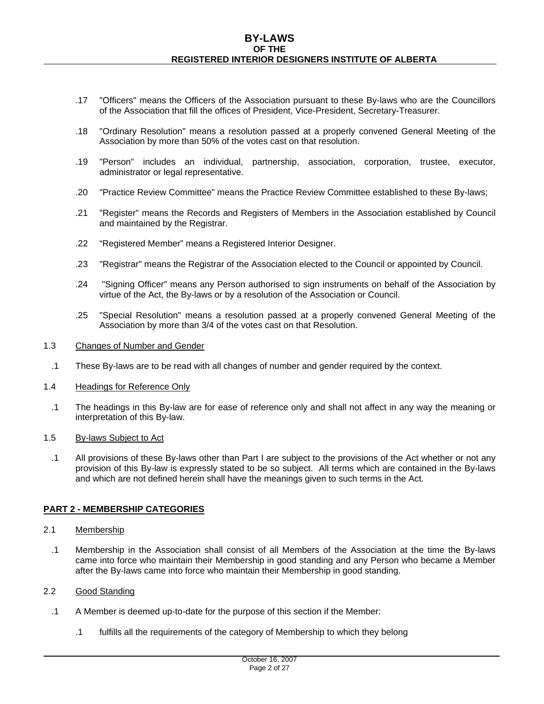- .17 "Officers" means the Officers of the Association pursuant to these By-laws who are the Councillors of the Association that fill the offices of President, Vice-President, Secretary-Treasurer.
- .18 "Ordinary Resolution" means a resolution passed at a properly convened General Meeting of the Association by more than 50% of the votes cast on that resolution.
- .19 "Person" includes an individual, partnership, association, corporation, trustee, executor, administrator or legal representative.
- .20 "Practice Review Committee" means the Practice Review Committee established to these By-laws;
- .21 "Register" means the Records and Registers of Members in the Association established by Council and maintained by the Registrar.
- .22 "Registered Member" means a Registered Interior Designer.
- .23 "Registrar" means the Registrar of the Association elected to the Council or appointed by Council.
- .24 "Signing Officer" means any Person authorised to sign instruments on behalf of the Association by virtue of the Act, the By-laws or by a resolution of the Association or Council.
- .25 "Special Resolution" means a resolution passed at a properly convened General Meeting of the Association by more than 3/4 of the votes cast on that Resolution.

## 1.3 Changes of Number and Gender

.1 These By-laws are to be read with all changes of number and gender required by the context.

## 1.4 Headings for Reference Only

.1 The headings in this By-law are for ease of reference only and shall not affect in any way the meaning or interpretation of this By-law.

## 1.5 By-laws Subject to Act

.1 All provisions of these By-laws other than Part I are subject to the provisions of the Act whether or not any provision of this By-law is expressly stated to be so subject. All terms which are contained in the By-laws and which are not defined herein shall have the meanings given to such terms in the Act.

## **PART 2 - MEMBERSHIP CATEGORIES**

- 2.1 Membership
	- .1 Membership in the Association shall consist of all Members of the Association at the time the By-laws came into force who maintain their Membership in good standing and any Person who became a Member after the By-laws came into force who maintain their Membership in good standing.

## 2.2 Good Standing

- .1 A Member is deemed up-to-date for the purpose of this section if the Member:
	- .1 fulfills all the requirements of the category of Membership to which they belong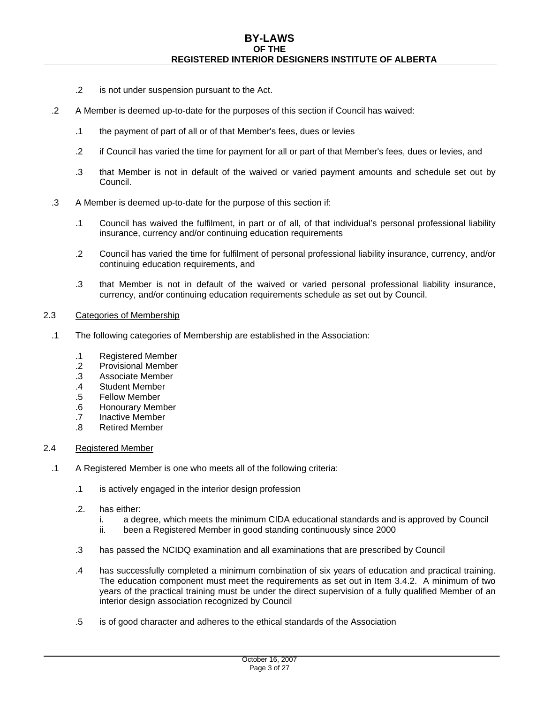- .2 is not under suspension pursuant to the Act.
- .2 A Member is deemed up-to-date for the purposes of this section if Council has waived:
	- .1 the payment of part of all or of that Member's fees, dues or levies
	- .2 if Council has varied the time for payment for all or part of that Member's fees, dues or levies, and
	- .3 that Member is not in default of the waived or varied payment amounts and schedule set out by Council.
- .3 A Member is deemed up-to-date for the purpose of this section if:
	- .1 Council has waived the fulfilment, in part or of all, of that individual's personal professional liability insurance, currency and/or continuing education requirements
	- .2 Council has varied the time for fulfilment of personal professional liability insurance, currency, and/or continuing education requirements, and
	- .3 that Member is not in default of the waived or varied personal professional liability insurance, currency, and/or continuing education requirements schedule as set out by Council.

## 2.3 Categories of Membership

- .1 The following categories of Membership are established in the Association:
	- .1 Registered Member
	- .2 Provisional Member
	- .3 Associate Member
	- .4 Student Member
	- .5 Fellow Member
	- .6 Honourary Member
	- .7 Inactive Member
	- .8 Retired Member

## 2.4 Registered Member

- .1 A Registered Member is one who meets all of the following criteria:
	- .1 is actively engaged in the interior design profession
	- .2. has either:
		- i. a degree, which meets the minimum CIDA educational standards and is approved by Council
		- ii. been a Registered Member in good standing continuously since 2000
	- .3 has passed the NCIDQ examination and all examinations that are prescribed by Council
	- .4 has successfully completed a minimum combination of six years of education and practical training. The education component must meet the requirements as set out in Item 3.4.2. A minimum of two years of the practical training must be under the direct supervision of a fully qualified Member of an interior design association recognized by Council
	- .5 is of good character and adheres to the ethical standards of the Association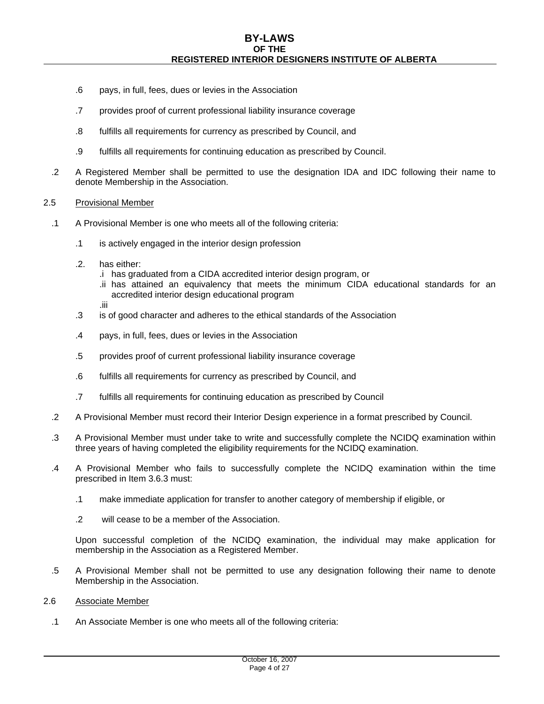- .6 pays, in full, fees, dues or levies in the Association
- .7 provides proof of current professional liability insurance coverage
- .8 fulfills all requirements for currency as prescribed by Council, and
- .9 fulfills all requirements for continuing education as prescribed by Council.
- .2 A Registered Member shall be permitted to use the designation IDA and IDC following their name to denote Membership in the Association.

## 2.5 Provisional Member

- .1 A Provisional Member is one who meets all of the following criteria:
	- .1 is actively engaged in the interior design profession
	- .2. has either:
		- .i has graduated from a CIDA accredited interior design program, or
		- .ii has attained an equivalency that meets the minimum CIDA educational standards for an accredited interior design educational program
		- .iii
	- .3 is of good character and adheres to the ethical standards of the Association
	- .4 pays, in full, fees, dues or levies in the Association
	- .5 provides proof of current professional liability insurance coverage
	- .6 fulfills all requirements for currency as prescribed by Council, and
	- .7 fulfills all requirements for continuing education as prescribed by Council
- .2 A Provisional Member must record their Interior Design experience in a format prescribed by Council.
- .3 A Provisional Member must under take to write and successfully complete the NCIDQ examination within three years of having completed the eligibility requirements for the NCIDQ examination.
- .4 A Provisional Member who fails to successfully complete the NCIDQ examination within the time prescribed in Item 3.6.3 must:
	- .1 make immediate application for transfer to another category of membership if eligible, or
	- .2 will cease to be a member of the Association.

Upon successful completion of the NCIDQ examination, the individual may make application for membership in the Association as a Registered Member.

- .5 A Provisional Member shall not be permitted to use any designation following their name to denote Membership in the Association.
- 2.6 Associate Member
	- .1 An Associate Member is one who meets all of the following criteria: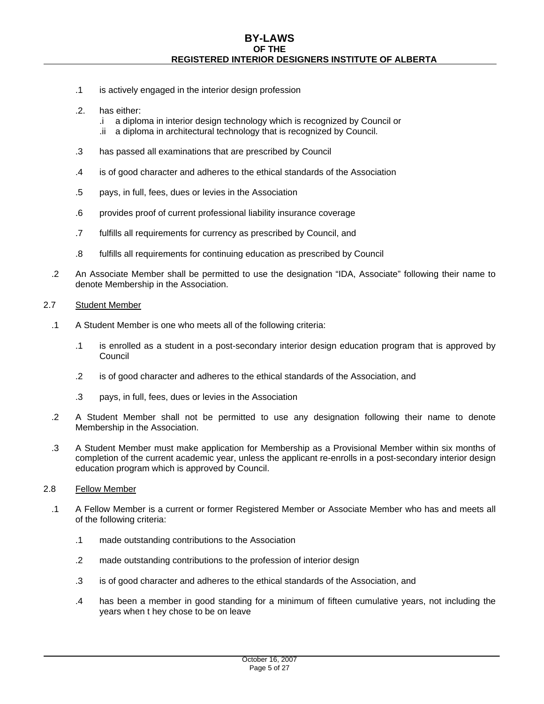- .1 is actively engaged in the interior design profession
- .2. has either:
	- .i a diploma in interior design technology which is recognized by Council or
	- .ii a diploma in architectural technology that is recognized by Council.
- .3 has passed all examinations that are prescribed by Council
- .4 is of good character and adheres to the ethical standards of the Association
- .5 pays, in full, fees, dues or levies in the Association
- .6 provides proof of current professional liability insurance coverage
- .7 fulfills all requirements for currency as prescribed by Council, and
- .8 fulfills all requirements for continuing education as prescribed by Council
- .2 An Associate Member shall be permitted to use the designation "IDA, Associate" following their name to denote Membership in the Association.

## 2.7 Student Member

- .1 A Student Member is one who meets all of the following criteria:
	- .1 is enrolled as a student in a post-secondary interior design education program that is approved by Council
	- .2 is of good character and adheres to the ethical standards of the Association, and
	- .3 pays, in full, fees, dues or levies in the Association
- .2 A Student Member shall not be permitted to use any designation following their name to denote Membership in the Association.
- .3 A Student Member must make application for Membership as a Provisional Member within six months of completion of the current academic year, unless the applicant re-enrolls in a post-secondary interior design education program which is approved by Council.

## 2.8 Fellow Member

- .1 A Fellow Member is a current or former Registered Member or Associate Member who has and meets all of the following criteria:
	- .1 made outstanding contributions to the Association
	- .2 made outstanding contributions to the profession of interior design
	- .3 is of good character and adheres to the ethical standards of the Association, and
	- .4 has been a member in good standing for a minimum of fifteen cumulative years, not including the years when t hey chose to be on leave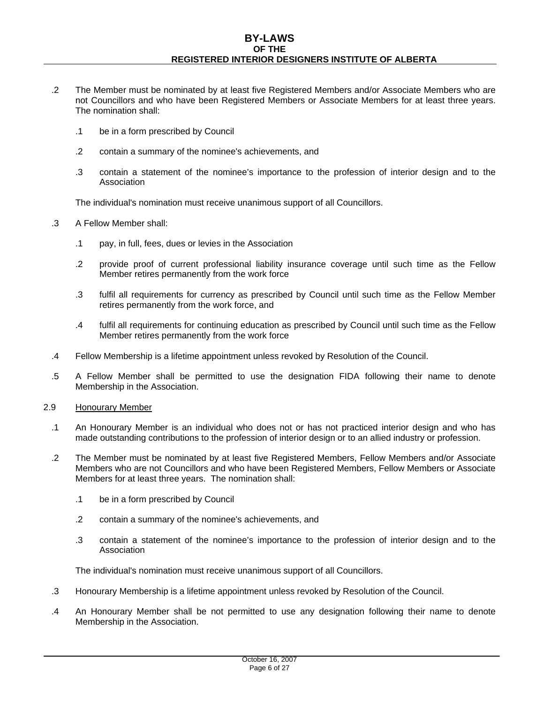- .2 The Member must be nominated by at least five Registered Members and/or Associate Members who are not Councillors and who have been Registered Members or Associate Members for at least three years. The nomination shall:
	- .1 be in a form prescribed by Council
	- .2 contain a summary of the nominee's achievements, and
	- .3 contain a statement of the nominee's importance to the profession of interior design and to the Association

The individual's nomination must receive unanimous support of all Councillors.

- .3 A Fellow Member shall:
	- .1 pay, in full, fees, dues or levies in the Association
	- .2 provide proof of current professional liability insurance coverage until such time as the Fellow Member retires permanently from the work force
	- .3 fulfil all requirements for currency as prescribed by Council until such time as the Fellow Member retires permanently from the work force, and
	- .4 fulfil all requirements for continuing education as prescribed by Council until such time as the Fellow Member retires permanently from the work force
- .4 Fellow Membership is a lifetime appointment unless revoked by Resolution of the Council.
- .5 A Fellow Member shall be permitted to use the designation FIDA following their name to denote Membership in the Association.
- 2.9 Honourary Member
	- .1 An Honourary Member is an individual who does not or has not practiced interior design and who has made outstanding contributions to the profession of interior design or to an allied industry or profession.
	- .2 The Member must be nominated by at least five Registered Members, Fellow Members and/or Associate Members who are not Councillors and who have been Registered Members, Fellow Members or Associate Members for at least three years. The nomination shall:
		- .1 be in a form prescribed by Council
		- .2 contain a summary of the nominee's achievements, and
		- .3 contain a statement of the nominee's importance to the profession of interior design and to the Association

The individual's nomination must receive unanimous support of all Councillors.

- .3 Honourary Membership is a lifetime appointment unless revoked by Resolution of the Council.
- .4 An Honourary Member shall be not permitted to use any designation following their name to denote Membership in the Association.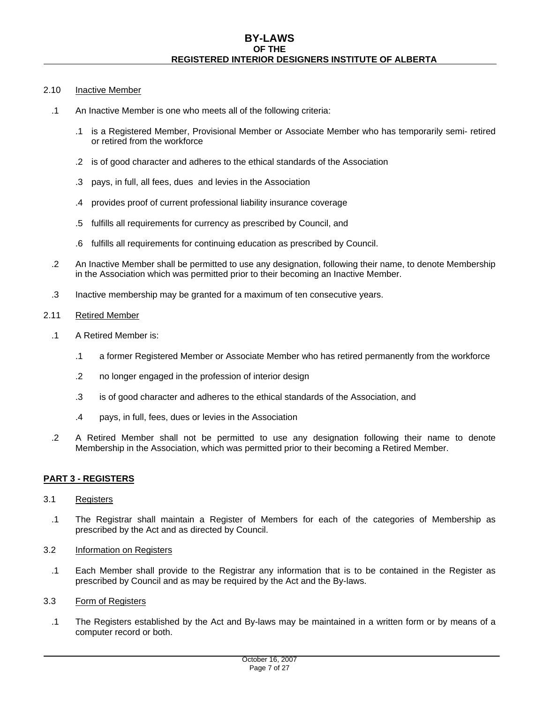## 2.10 Inactive Member

- .1 An Inactive Member is one who meets all of the following criteria:
	- .1 is a Registered Member, Provisional Member or Associate Member who has temporarily semi- retired or retired from the workforce
	- .2 is of good character and adheres to the ethical standards of the Association
	- .3 pays, in full, all fees, dues and levies in the Association
	- .4 provides proof of current professional liability insurance coverage
	- .5 fulfills all requirements for currency as prescribed by Council, and
	- .6 fulfills all requirements for continuing education as prescribed by Council.
- .2 An Inactive Member shall be permitted to use any designation, following their name, to denote Membership in the Association which was permitted prior to their becoming an Inactive Member.
- .3 Inactive membership may be granted for a maximum of ten consecutive years.

## 2.11 Retired Member

- .1 A Retired Member is:
	- .1 a former Registered Member or Associate Member who has retired permanently from the workforce
	- .2 no longer engaged in the profession of interior design
	- .3 is of good character and adheres to the ethical standards of the Association, and
	- .4 pays, in full, fees, dues or levies in the Association
- .2 A Retired Member shall not be permitted to use any designation following their name to denote Membership in the Association, which was permitted prior to their becoming a Retired Member.

# **PART 3 - REGISTERS**

# 3.1 Registers

- .1 The Registrar shall maintain a Register of Members for each of the categories of Membership as prescribed by the Act and as directed by Council.
- 3.2 Information on Registers
	- .1 Each Member shall provide to the Registrar any information that is to be contained in the Register as prescribed by Council and as may be required by the Act and the By-laws.
- 3.3 Form of Registers
	- .1 The Registers established by the Act and By-laws may be maintained in a written form or by means of a computer record or both.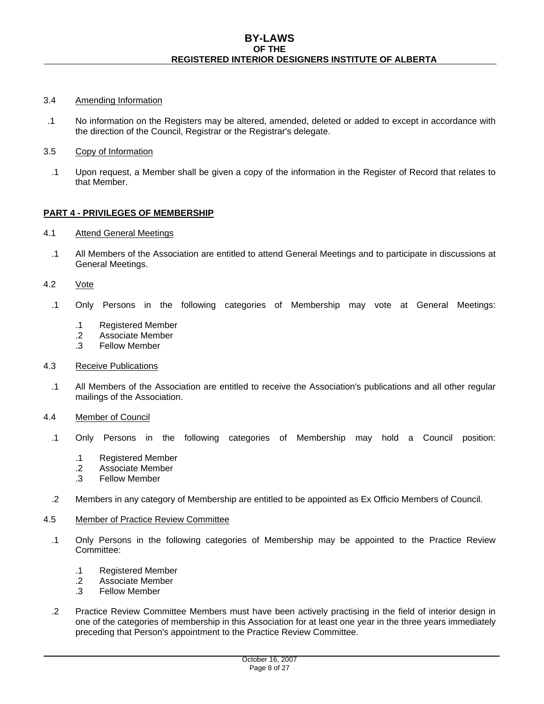## 3.4 Amending Information

- .1 No information on the Registers may be altered, amended, deleted or added to except in accordance with the direction of the Council, Registrar or the Registrar's delegate.
- 3.5 Copy of Information
- .1 Upon request, a Member shall be given a copy of the information in the Register of Record that relates to that Member.

## **PART 4 - PRIVILEGES OF MEMBERSHIP**

## 4.1 Attend General Meetings

- .1 All Members of the Association are entitled to attend General Meetings and to participate in discussions at General Meetings.
- 4.2 Vote
	- .1 Only Persons in the following categories of Membership may vote at General Meetings:
		- .1 Registered Member
		- .2 Associate Member
		- .3 Fellow Member
- 4.3 Receive Publications
	- .1 All Members of the Association are entitled to receive the Association's publications and all other regular mailings of the Association.
- 4.4 Member of Council
	- .1 Only Persons in the following categories of Membership may hold a Council position:
		- .1 Registered Member
		- .2 Associate Member
		- .3 Fellow Member
- .2 Members in any category of Membership are entitled to be appointed as Ex Officio Members of Council.

#### 4.5 Member of Practice Review Committee

- .1 Only Persons in the following categories of Membership may be appointed to the Practice Review Committee:
	- .1 Registered Member
	- .2 Associate Member
	- .3 Fellow Member
- .2 Practice Review Committee Members must have been actively practising in the field of interior design in one of the categories of membership in this Association for at least one year in the three years immediately preceding that Person's appointment to the Practice Review Committee.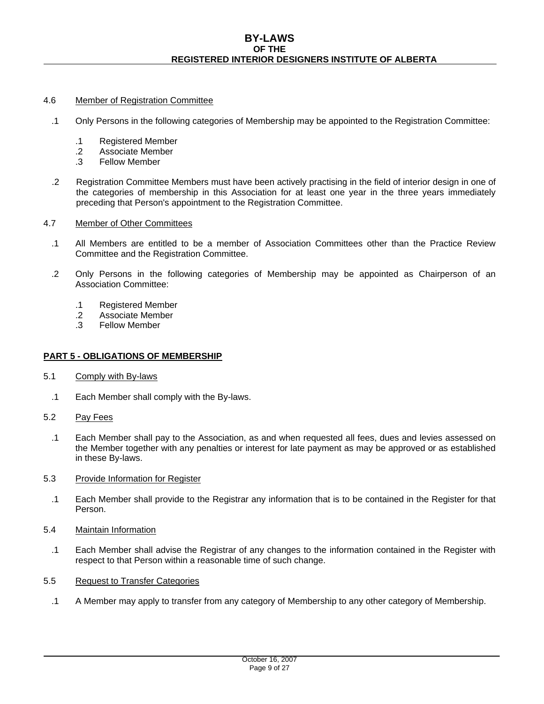## 4.6 Member of Registration Committee

- .1 Only Persons in the following categories of Membership may be appointed to the Registration Committee:
	- .1 Registered Member
	- .2 Associate Member
	- .3 Fellow Member
- .2 Registration Committee Members must have been actively practising in the field of interior design in one of the categories of membership in this Association for at least one year in the three years immediately preceding that Person's appointment to the Registration Committee.
- 4.7 Member of Other Committees
	- .1 All Members are entitled to be a member of Association Committees other than the Practice Review Committee and the Registration Committee.
	- .2 Only Persons in the following categories of Membership may be appointed as Chairperson of an Association Committee:
		- .1 Registered Member
		- .2 Associate Member
		- .3 Fellow Member

# **PART 5 - OBLIGATIONS OF MEMBERSHIP**

- 5.1 Comply with By-laws
	- .1 Each Member shall comply with the By-laws.
- 5.2 Pay Fees
	- .1 Each Member shall pay to the Association, as and when requested all fees, dues and levies assessed on the Member together with any penalties or interest for late payment as may be approved or as established in these By-laws.
- 5.3 Provide Information for Register
	- .1 Each Member shall provide to the Registrar any information that is to be contained in the Register for that Person.
- 5.4 Maintain Information
	- .1 Each Member shall advise the Registrar of any changes to the information contained in the Register with respect to that Person within a reasonable time of such change.
- 5.5 Request to Transfer Categories
	- .1 A Member may apply to transfer from any category of Membership to any other category of Membership.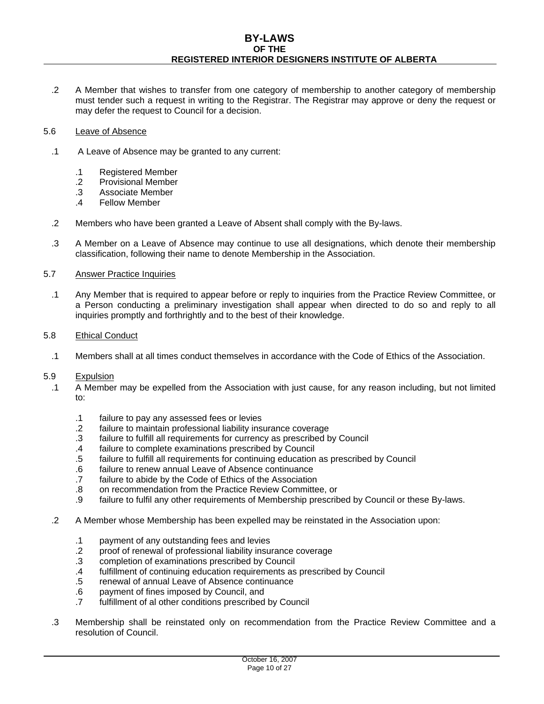## **BY-LAWS OF THE REGISTERED INTERIOR DESIGNERS INSTITUTE OF ALBERTA**

.2 A Member that wishes to transfer from one category of membership to another category of membership must tender such a request in writing to the Registrar. The Registrar may approve or deny the request or may defer the request to Council for a decision.

## 5.6 Leave of Absence

- .1 A Leave of Absence may be granted to any current:
	- .1 Registered Member
	- .2 Provisional Member
	- .3 Associate Member
	- .4 Fellow Member
- .2 Members who have been granted a Leave of Absent shall comply with the By-laws.
- .3 A Member on a Leave of Absence may continue to use all designations, which denote their membership classification, following their name to denote Membership in the Association.

## 5.7 Answer Practice Inquiries

.1 Any Member that is required to appear before or reply to inquiries from the Practice Review Committee, or a Person conducting a preliminary investigation shall appear when directed to do so and reply to all inquiries promptly and forthrightly and to the best of their knowledge.

## 5.8 Ethical Conduct

.1 Members shall at all times conduct themselves in accordance with the Code of Ethics of the Association.

# 5.9 Expulsion<br>1 A Member

- .1 A Member may be expelled from the Association with just cause, for any reason including, but not limited to:
	- .1 failure to pay any assessed fees or levies
	- .2 failure to maintain professional liability insurance coverage
	- .3 failure to fulfill all requirements for currency as prescribed by Council
	- .4 failure to complete examinations prescribed by Council
	- .5 failure to fulfill all requirements for continuing education as prescribed by Council
	- .6 failure to renew annual Leave of Absence continuance
	- .7 failure to abide by the Code of Ethics of the Association
	- .8 on recommendation from the Practice Review Committee, or
	- .9 failure to fulfil any other requirements of Membership prescribed by Council or these By-laws.
- .2 A Member whose Membership has been expelled may be reinstated in the Association upon:
	- .1 payment of any outstanding fees and levies
	- .2 proof of renewal of professional liability insurance coverage
	- .3 completion of examinations prescribed by Council
	- .4 fulfillment of continuing education requirements as prescribed by Council
	- .5 renewal of annual Leave of Absence continuance
	- .6 payment of fines imposed by Council, and
	- .7 fulfillment of al other conditions prescribed by Council
- .3 Membership shall be reinstated only on recommendation from the Practice Review Committee and a resolution of Council.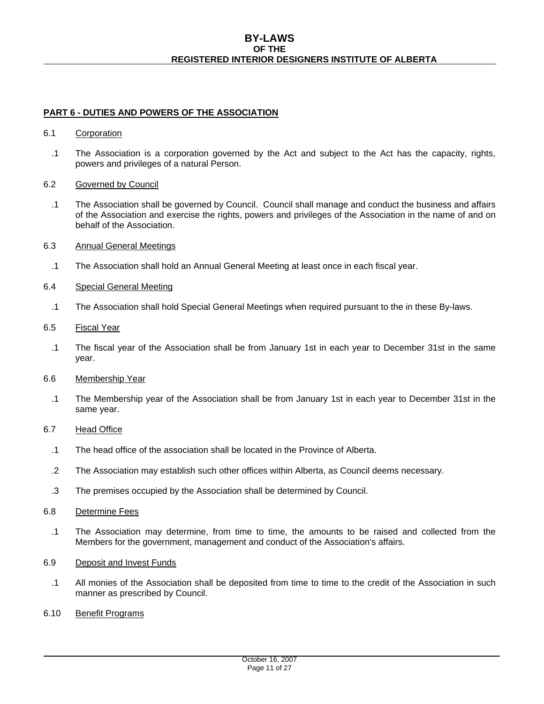## **BY-LAWS OF THE REGISTERED INTERIOR DESIGNERS INSTITUTE OF ALBERTA**

# **PART 6 - DUTIES AND POWERS OF THE ASSOCIATION**

## 6.1 Corporation

.1 The Association is a corporation governed by the Act and subject to the Act has the capacity, rights, powers and privileges of a natural Person.

## 6.2 Governed by Council

- .1 The Association shall be governed by Council. Council shall manage and conduct the business and affairs of the Association and exercise the rights, powers and privileges of the Association in the name of and on behalf of the Association.
- 6.3 Annual General Meetings
	- .1 The Association shall hold an Annual General Meeting at least once in each fiscal year.

# 6.4 Special General Meeting

- .1 The Association shall hold Special General Meetings when required pursuant to the in these By-laws.
- 6.5 Fiscal Year
	- .1 The fiscal year of the Association shall be from January 1st in each year to December 31st in the same year.
- 6.6 Membership Year
	- .1 The Membership year of the Association shall be from January 1st in each year to December 31st in the same year.

# 6.7 Head Office

- .1 The head office of the association shall be located in the Province of Alberta.
- .2 The Association may establish such other offices within Alberta, as Council deems necessary.
- .3 The premises occupied by the Association shall be determined by Council.

## 6.8 Determine Fees

- .1 The Association may determine, from time to time, the amounts to be raised and collected from the Members for the government, management and conduct of the Association's affairs.
- 6.9 Deposit and Invest Funds
	- .1 All monies of the Association shall be deposited from time to time to the credit of the Association in such manner as prescribed by Council.
- 6.10 Benefit Programs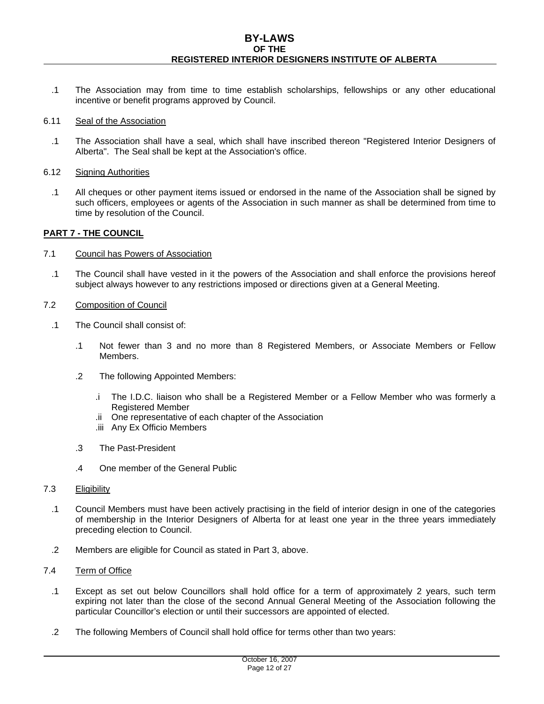- .1 The Association may from time to time establish scholarships, fellowships or any other educational incentive or benefit programs approved by Council.
- 6.11 Seal of the Association
	- .1 The Association shall have a seal, which shall have inscribed thereon "Registered Interior Designers of Alberta". The Seal shall be kept at the Association's office.
- 6.12 Signing Authorities
	- .1 All cheques or other payment items issued or endorsed in the name of the Association shall be signed by such officers, employees or agents of the Association in such manner as shall be determined from time to time by resolution of the Council.

## **PART 7 - THE COUNCIL**

- 7.1 Council has Powers of Association
	- .1 The Council shall have vested in it the powers of the Association and shall enforce the provisions hereof subject always however to any restrictions imposed or directions given at a General Meeting.
- 7.2 Composition of Council
	- .1 The Council shall consist of:
		- .1 Not fewer than 3 and no more than 8 Registered Members, or Associate Members or Fellow Members.
		- .2 The following Appointed Members:
			- .i The I.D.C. liaison who shall be a Registered Member or a Fellow Member who was formerly a Registered Member
			- .ii One representative of each chapter of the Association
			- .iii Any Ex Officio Members
		- .3 The Past-President
		- .4 One member of the General Public

## 7.3 Eligibility

- .1 Council Members must have been actively practising in the field of interior design in one of the categories of membership in the Interior Designers of Alberta for at least one year in the three years immediately preceding election to Council.
- .2 Members are eligible for Council as stated in Part 3, above.
- 7.4 Term of Office
	- .1 Except as set out below Councillors shall hold office for a term of approximately 2 years, such term expiring not later than the close of the second Annual General Meeting of the Association following the particular Councillor's election or until their successors are appointed of elected.
	- .2 The following Members of Council shall hold office for terms other than two years: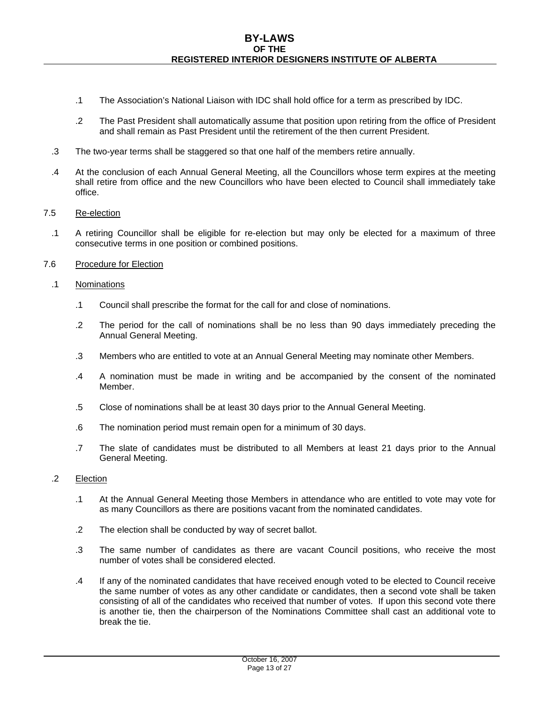- .1 The Association's National Liaison with IDC shall hold office for a term as prescribed by IDC.
- .2 The Past President shall automatically assume that position upon retiring from the office of President and shall remain as Past President until the retirement of the then current President.
- .3 The two-year terms shall be staggered so that one half of the members retire annually.
- .4 At the conclusion of each Annual General Meeting, all the Councillors whose term expires at the meeting shall retire from office and the new Councillors who have been elected to Council shall immediately take office.

## 7.5 Re-election

- .1 A retiring Councillor shall be eligible for re-election but may only be elected for a maximum of three consecutive terms in one position or combined positions.
- 7.6 Procedure for Election

## .1 Nominations

- .1 Council shall prescribe the format for the call for and close of nominations.
- .2 The period for the call of nominations shall be no less than 90 days immediately preceding the Annual General Meeting.
- .3 Members who are entitled to vote at an Annual General Meeting may nominate other Members.
- .4 A nomination must be made in writing and be accompanied by the consent of the nominated Member.
- .5 Close of nominations shall be at least 30 days prior to the Annual General Meeting.
- .6 The nomination period must remain open for a minimum of 30 days.
- .7 The slate of candidates must be distributed to all Members at least 21 days prior to the Annual General Meeting.
- .2 Election
	- .1 At the Annual General Meeting those Members in attendance who are entitled to vote may vote for as many Councillors as there are positions vacant from the nominated candidates.
	- .2 The election shall be conducted by way of secret ballot.
	- .3 The same number of candidates as there are vacant Council positions, who receive the most number of votes shall be considered elected.
	- .4 If any of the nominated candidates that have received enough voted to be elected to Council receive the same number of votes as any other candidate or candidates, then a second vote shall be taken consisting of all of the candidates who received that number of votes. If upon this second vote there is another tie, then the chairperson of the Nominations Committee shall cast an additional vote to break the tie.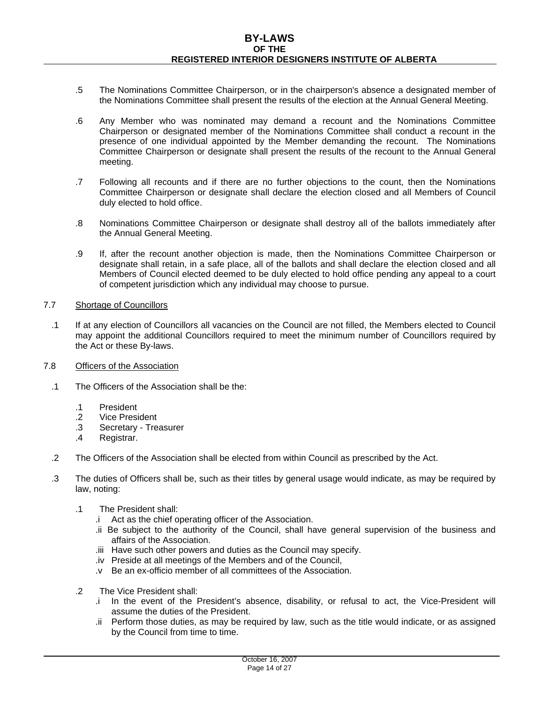- .5 The Nominations Committee Chairperson, or in the chairperson's absence a designated member of the Nominations Committee shall present the results of the election at the Annual General Meeting.
- .6 Any Member who was nominated may demand a recount and the Nominations Committee Chairperson or designated member of the Nominations Committee shall conduct a recount in the presence of one individual appointed by the Member demanding the recount. The Nominations Committee Chairperson or designate shall present the results of the recount to the Annual General meeting.
- .7 Following all recounts and if there are no further objections to the count, then the Nominations Committee Chairperson or designate shall declare the election closed and all Members of Council duly elected to hold office.
- .8 Nominations Committee Chairperson or designate shall destroy all of the ballots immediately after the Annual General Meeting.
- .9 If, after the recount another objection is made, then the Nominations Committee Chairperson or designate shall retain, in a safe place, all of the ballots and shall declare the election closed and all Members of Council elected deemed to be duly elected to hold office pending any appeal to a court of competent jurisdiction which any individual may choose to pursue.

## 7.7 Shortage of Councillors

- .1 If at any election of Councillors all vacancies on the Council are not filled, the Members elected to Council may appoint the additional Councillors required to meet the minimum number of Councillors required by the Act or these By-laws.
- 7.8 Officers of the Association
	- .1 The Officers of the Association shall be the:
		- .1 President
		- .2 Vice President
		- .3 Secretary Treasurer
		- .4 Registrar.
	- .2 The Officers of the Association shall be elected from within Council as prescribed by the Act.
	- .3 The duties of Officers shall be, such as their titles by general usage would indicate, as may be required by law, noting:
		- .1 The President shall:
			- .i Act as the chief operating officer of the Association.
			- .ii Be subject to the authority of the Council, shall have general supervision of the business and affairs of the Association.
			- .iii Have such other powers and duties as the Council may specify.
			- .iv Preside at all meetings of the Members and of the Council,
			- .v Be an ex-officio member of all committees of the Association.
		- .2 The Vice President shall:
			- .i In the event of the President's absence, disability, or refusal to act, the Vice-President will assume the duties of the President.
			- .ii Perform those duties, as may be required by law, such as the title would indicate, or as assigned by the Council from time to time.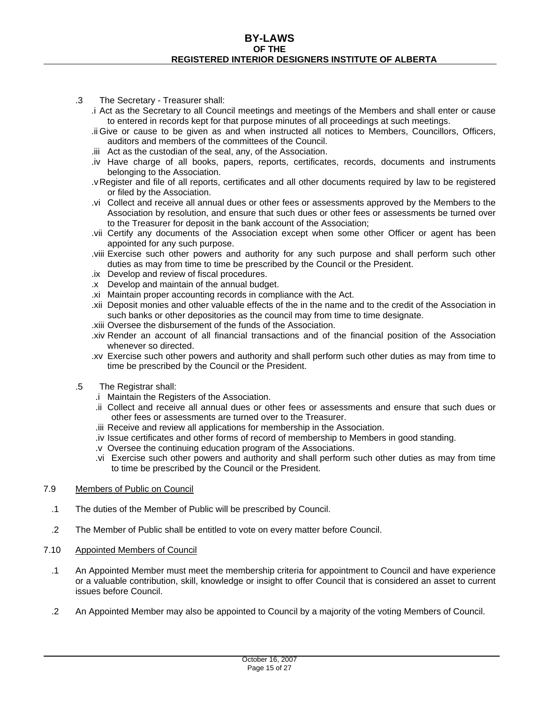- .3 The Secretary Treasurer shall:
	- .i Act as the Secretary to all Council meetings and meetings of the Members and shall enter or cause to entered in records kept for that purpose minutes of all proceedings at such meetings.
	- .ii Give or cause to be given as and when instructed all notices to Members, Councillors, Officers, auditors and members of the committees of the Council.
	- .iii Act as the custodian of the seal, any, of the Association.
	- .iv Have charge of all books, papers, reports, certificates, records, documents and instruments belonging to the Association.
	- .v Register and file of all reports, certificates and all other documents required by law to be registered or filed by the Association.
	- .vi Collect and receive all annual dues or other fees or assessments approved by the Members to the Association by resolution, and ensure that such dues or other fees or assessments be turned over to the Treasurer for deposit in the bank account of the Association;
	- .vii Certify any documents of the Association except when some other Officer or agent has been appointed for any such purpose.
	- .viii Exercise such other powers and authority for any such purpose and shall perform such other duties as may from time to time be prescribed by the Council or the President.
	- .ix Develop and review of fiscal procedures.
	- .x Develop and maintain of the annual budget.
	- .xi Maintain proper accounting records in compliance with the Act.
	- .xii Deposit monies and other valuable effects of the in the name and to the credit of the Association in such banks or other depositories as the council may from time to time designate.
	- .xiii Oversee the disbursement of the funds of the Association.
	- .xiv Render an account of all financial transactions and of the financial position of the Association whenever so directed.
	- .xv Exercise such other powers and authority and shall perform such other duties as may from time to time be prescribed by the Council or the President.
- .5 The Registrar shall:
	- .i Maintain the Registers of the Association.
	- .ii Collect and receive all annual dues or other fees or assessments and ensure that such dues or other fees or assessments are turned over to the Treasurer.
	- .iii Receive and review all applications for membership in the Association.
	- .iv Issue certificates and other forms of record of membership to Members in good standing.
	- .v Oversee the continuing education program of the Associations.
	- .vi Exercise such other powers and authority and shall perform such other duties as may from time to time be prescribed by the Council or the President.
- 7.9 Members of Public on Council
- .1 The duties of the Member of Public will be prescribed by Council.
- .2 The Member of Public shall be entitled to vote on every matter before Council.
- 7.10 Appointed Members of Council
	- .1 An Appointed Member must meet the membership criteria for appointment to Council and have experience or a valuable contribution, skill, knowledge or insight to offer Council that is considered an asset to current issues before Council.
	- .2 An Appointed Member may also be appointed to Council by a majority of the voting Members of Council.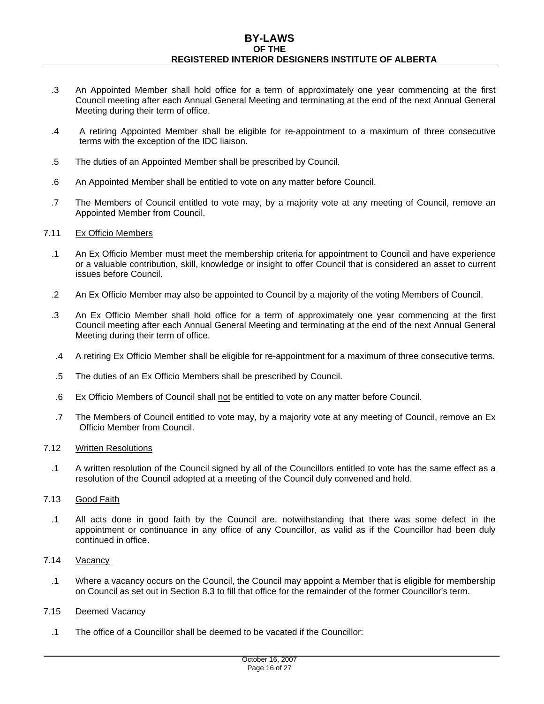- .3 An Appointed Member shall hold office for a term of approximately one year commencing at the first Council meeting after each Annual General Meeting and terminating at the end of the next Annual General Meeting during their term of office.
- .4 A retiring Appointed Member shall be eligible for re-appointment to a maximum of three consecutive terms with the exception of the IDC liaison.
- .5 The duties of an Appointed Member shall be prescribed by Council.
- .6 An Appointed Member shall be entitled to vote on any matter before Council.
- .7 The Members of Council entitled to vote may, by a majority vote at any meeting of Council, remove an Appointed Member from Council.

#### 7.11 Ex Officio Members

- .1 An Ex Officio Member must meet the membership criteria for appointment to Council and have experience or a valuable contribution, skill, knowledge or insight to offer Council that is considered an asset to current issues before Council.
- .2 An Ex Officio Member may also be appointed to Council by a majority of the voting Members of Council.
- .3 An Ex Officio Member shall hold office for a term of approximately one year commencing at the first Council meeting after each Annual General Meeting and terminating at the end of the next Annual General Meeting during their term of office.
- .4 A retiring Ex Officio Member shall be eligible for re-appointment for a maximum of three consecutive terms.
- .5 The duties of an Ex Officio Members shall be prescribed by Council.
- .6 Ex Officio Members of Council shall not be entitled to vote on any matter before Council.
- .7 The Members of Council entitled to vote may, by a majority vote at any meeting of Council, remove an Ex Officio Member from Council.

#### 7.12 Written Resolutions

.1 A written resolution of the Council signed by all of the Councillors entitled to vote has the same effect as a resolution of the Council adopted at a meeting of the Council duly convened and held.

# 7.13 Good Faith

.1 All acts done in good faith by the Council are, notwithstanding that there was some defect in the appointment or continuance in any office of any Councillor, as valid as if the Councillor had been duly continued in office.

## 7.14 Vacancy

.1 Where a vacancy occurs on the Council, the Council may appoint a Member that is eligible for membership on Council as set out in Section 8.3 to fill that office for the remainder of the former Councillor's term.

## 7.15 Deemed Vacancy

.1 The office of a Councillor shall be deemed to be vacated if the Councillor: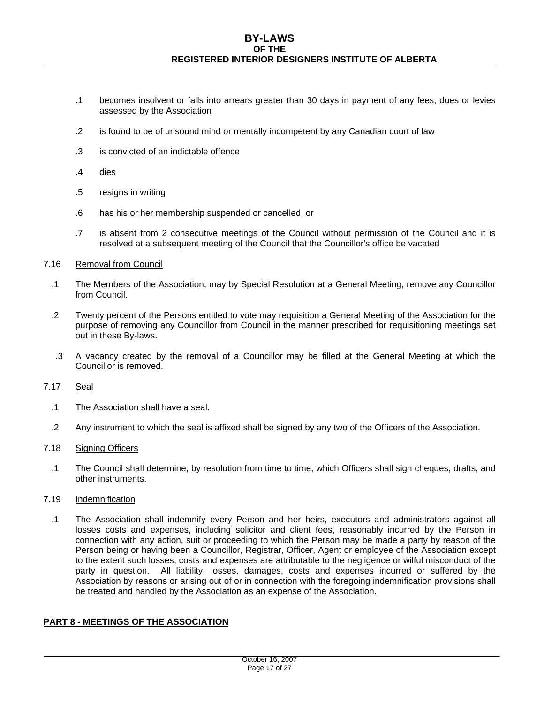- .1 becomes insolvent or falls into arrears greater than 30 days in payment of any fees, dues or levies assessed by the Association
- .2 is found to be of unsound mind or mentally incompetent by any Canadian court of law
- .3 is convicted of an indictable offence
- .4 dies
- .5 resigns in writing
- .6 has his or her membership suspended or cancelled, or
- .7 is absent from 2 consecutive meetings of the Council without permission of the Council and it is resolved at a subsequent meeting of the Council that the Councillor's office be vacated

## 7.16 Removal from Council

- .1 The Members of the Association, may by Special Resolution at a General Meeting, remove any Councillor from Council.
- .2 Twenty percent of the Persons entitled to vote may requisition a General Meeting of the Association for the purpose of removing any Councillor from Council in the manner prescribed for requisitioning meetings set out in these By-laws.
- .3 A vacancy created by the removal of a Councillor may be filled at the General Meeting at which the Councillor is removed.

## 7.17 Seal

- .1 The Association shall have a seal.
- .2 Any instrument to which the seal is affixed shall be signed by any two of the Officers of the Association.

## 7.18 Signing Officers

.1 The Council shall determine, by resolution from time to time, which Officers shall sign cheques, drafts, and other instruments.

# 7.19 Indemnification

.1 The Association shall indemnify every Person and her heirs, executors and administrators against all losses costs and expenses, including solicitor and client fees, reasonably incurred by the Person in connection with any action, suit or proceeding to which the Person may be made a party by reason of the Person being or having been a Councillor, Registrar, Officer, Agent or employee of the Association except to the extent such losses, costs and expenses are attributable to the negligence or wilful misconduct of the party in question. All liability, losses, damages, costs and expenses incurred or suffered by the Association by reasons or arising out of or in connection with the foregoing indemnification provisions shall be treated and handled by the Association as an expense of the Association.

# **PART 8 - MEETINGS OF THE ASSOCIATION**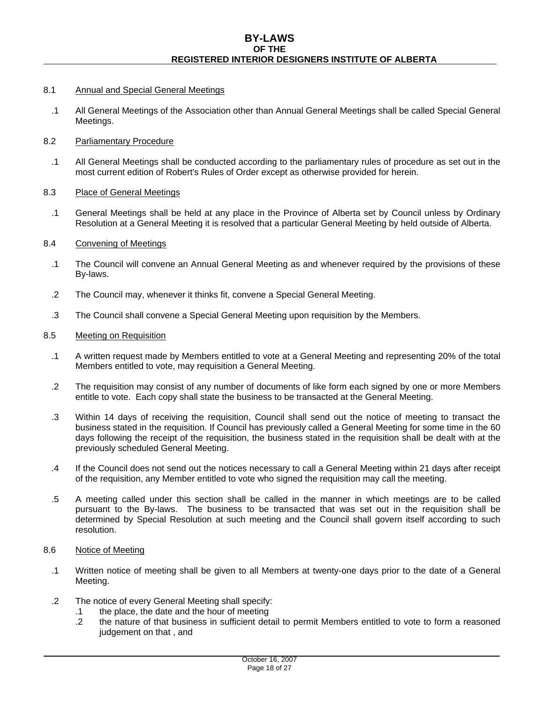## 8.1 Annual and Special General Meetings

.1 All General Meetings of the Association other than Annual General Meetings shall be called Special General Meetings.

# 8.2 Parliamentary Procedure

.1 All General Meetings shall be conducted according to the parliamentary rules of procedure as set out in the most current edition of Robert's Rules of Order except as otherwise provided for herein.

## 8.3 Place of General Meetings

.1 General Meetings shall be held at any place in the Province of Alberta set by Council unless by Ordinary Resolution at a General Meeting it is resolved that a particular General Meeting by held outside of Alberta.

## 8.4 Convening of Meetings

- .1 The Council will convene an Annual General Meeting as and whenever required by the provisions of these By-laws.
- .2 The Council may, whenever it thinks fit, convene a Special General Meeting.
- .3 The Council shall convene a Special General Meeting upon requisition by the Members.

## 8.5 Meeting on Requisition

- .1 A written request made by Members entitled to vote at a General Meeting and representing 20% of the total Members entitled to vote, may requisition a General Meeting.
- .2 The requisition may consist of any number of documents of like form each signed by one or more Members entitle to vote. Each copy shall state the business to be transacted at the General Meeting.
- .3 Within 14 days of receiving the requisition, Council shall send out the notice of meeting to transact the business stated in the requisition. If Council has previously called a General Meeting for some time in the 60 days following the receipt of the requisition, the business stated in the requisition shall be dealt with at the previously scheduled General Meeting.
- .4 If the Council does not send out the notices necessary to call a General Meeting within 21 days after receipt of the requisition, any Member entitled to vote who signed the requisition may call the meeting.
- .5 A meeting called under this section shall be called in the manner in which meetings are to be called pursuant to the By-laws. The business to be transacted that was set out in the requisition shall be determined by Special Resolution at such meeting and the Council shall govern itself according to such resolution.

## 8.6 Notice of Meeting

- .1 Written notice of meeting shall be given to all Members at twenty-one days prior to the date of a General Meeting.
- .2 The notice of every General Meeting shall specify:
	- .1 the place, the date and the hour of meeting
	- .2 the nature of that business in sufficient detail to permit Members entitled to vote to form a reasoned judgement on that , and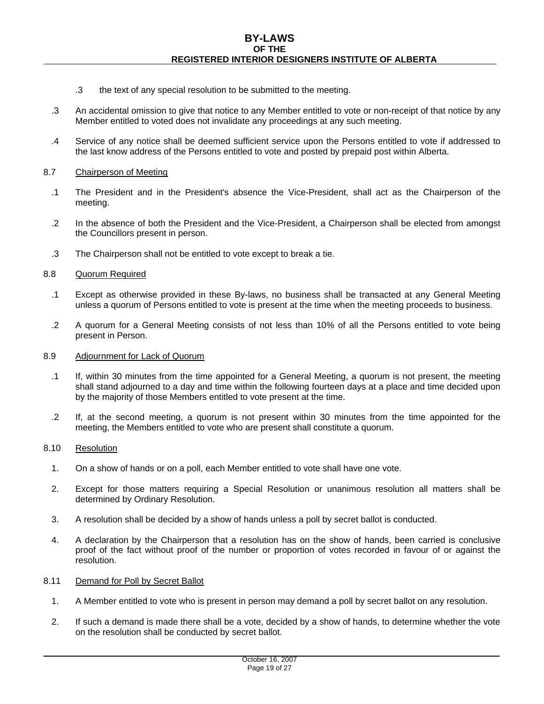- .3 the text of any special resolution to be submitted to the meeting.
- .3 An accidental omission to give that notice to any Member entitled to vote or non-receipt of that notice by any Member entitled to voted does not invalidate any proceedings at any such meeting.
- .4 Service of any notice shall be deemed sufficient service upon the Persons entitled to vote if addressed to the last know address of the Persons entitled to vote and posted by prepaid post within Alberta.

#### 8.7 Chairperson of Meeting

- .1 The President and in the President's absence the Vice-President, shall act as the Chairperson of the meeting.
- .2 In the absence of both the President and the Vice-President, a Chairperson shall be elected from amongst the Councillors present in person.
- .3 The Chairperson shall not be entitled to vote except to break a tie.

#### 8.8 Quorum Required

- .1 Except as otherwise provided in these By-laws, no business shall be transacted at any General Meeting unless a quorum of Persons entitled to vote is present at the time when the meeting proceeds to business.
- .2 A quorum for a General Meeting consists of not less than 10% of all the Persons entitled to vote being present in Person.

#### 8.9 Adjournment for Lack of Quorum

- .1 If, within 30 minutes from the time appointed for a General Meeting, a quorum is not present, the meeting shall stand adjourned to a day and time within the following fourteen days at a place and time decided upon by the majority of those Members entitled to vote present at the time.
- .2 If, at the second meeting, a quorum is not present within 30 minutes from the time appointed for the meeting, the Members entitled to vote who are present shall constitute a quorum.

#### 8.10 Resolution

- 1. On a show of hands or on a poll, each Member entitled to vote shall have one vote.
- 2. Except for those matters requiring a Special Resolution or unanimous resolution all matters shall be determined by Ordinary Resolution.
- 3. A resolution shall be decided by a show of hands unless a poll by secret ballot is conducted.
- 4. A declaration by the Chairperson that a resolution has on the show of hands, been carried is conclusive proof of the fact without proof of the number or proportion of votes recorded in favour of or against the resolution.

#### 8.11 Demand for Poll by Secret Ballot

- 1. A Member entitled to vote who is present in person may demand a poll by secret ballot on any resolution.
- 2. If such a demand is made there shall be a vote, decided by a show of hands, to determine whether the vote on the resolution shall be conducted by secret ballot.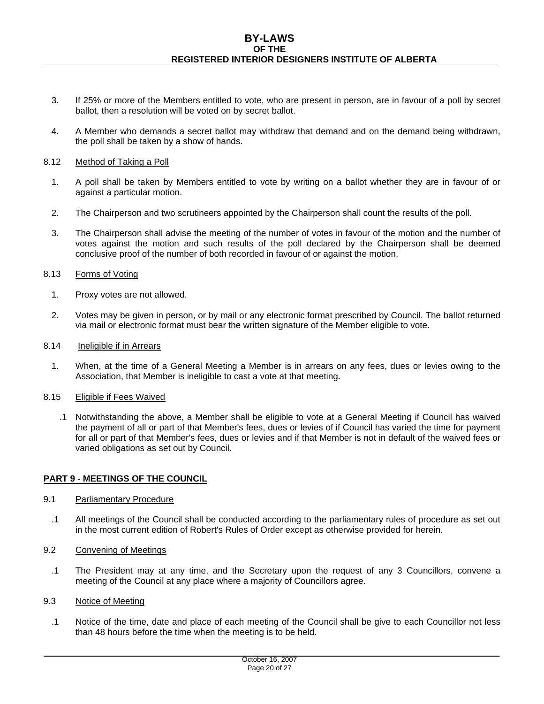- 3. If 25% or more of the Members entitled to vote, who are present in person, are in favour of a poll by secret ballot, then a resolution will be voted on by secret ballot.
- 4. A Member who demands a secret ballot may withdraw that demand and on the demand being withdrawn, the poll shall be taken by a show of hands.

#### 8.12 Method of Taking a Poll

- 1. A poll shall be taken by Members entitled to vote by writing on a ballot whether they are in favour of or against a particular motion.
- 2. The Chairperson and two scrutineers appointed by the Chairperson shall count the results of the poll.
- 3. The Chairperson shall advise the meeting of the number of votes in favour of the motion and the number of votes against the motion and such results of the poll declared by the Chairperson shall be deemed conclusive proof of the number of both recorded in favour of or against the motion.

#### 8.13 Forms of Voting

- 1. Proxy votes are not allowed.
- 2. Votes may be given in person, or by mail or any electronic format prescribed by Council. The ballot returned via mail or electronic format must bear the written signature of the Member eligible to vote.

#### 8.14 Ineligible if in Arrears

1. When, at the time of a General Meeting a Member is in arrears on any fees, dues or levies owing to the Association, that Member is ineligible to cast a vote at that meeting.

#### 8.15 Eligible if Fees Waived

.1 Notwithstanding the above, a Member shall be eligible to vote at a General Meeting if Council has waived the payment of all or part of that Member's fees, dues or levies of if Council has varied the time for payment for all or part of that Member's fees, dues or levies and if that Member is not in default of the waived fees or varied obligations as set out by Council.

## **PART 9 - MEETINGS OF THE COUNCIL**

## 9.1 Parliamentary Procedure

.1 All meetings of the Council shall be conducted according to the parliamentary rules of procedure as set out in the most current edition of Robert's Rules of Order except as otherwise provided for herein.

## 9.2 Convening of Meetings

.1 The President may at any time, and the Secretary upon the request of any 3 Councillors, convene a meeting of the Council at any place where a majority of Councillors agree.

## 9.3 Notice of Meeting

.1 Notice of the time, date and place of each meeting of the Council shall be give to each Councillor not less than 48 hours before the time when the meeting is to be held.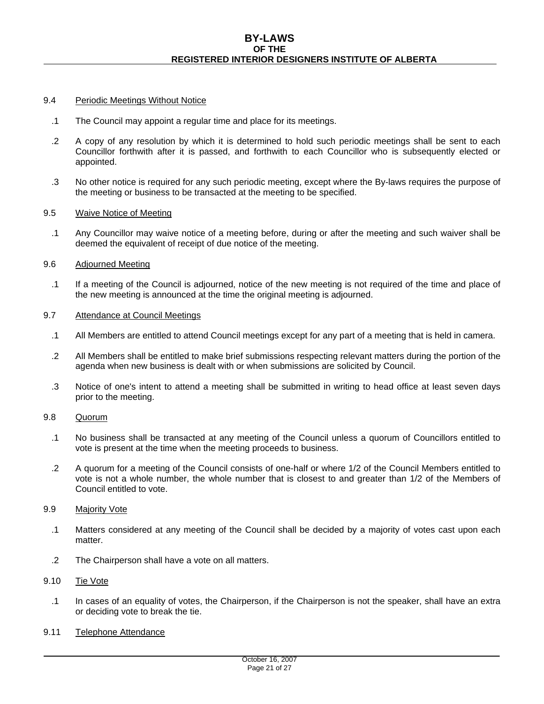## 9.4 Periodic Meetings Without Notice

- .1 The Council may appoint a regular time and place for its meetings.
- .2 A copy of any resolution by which it is determined to hold such periodic meetings shall be sent to each Councillor forthwith after it is passed, and forthwith to each Councillor who is subsequently elected or appointed.
- .3 No other notice is required for any such periodic meeting, except where the By-laws requires the purpose of the meeting or business to be transacted at the meeting to be specified.

#### 9.5 Waive Notice of Meeting

.1 Any Councillor may waive notice of a meeting before, during or after the meeting and such waiver shall be deemed the equivalent of receipt of due notice of the meeting.

#### 9.6 Adjourned Meeting

.1 If a meeting of the Council is adjourned, notice of the new meeting is not required of the time and place of the new meeting is announced at the time the original meeting is adjourned.

#### 9.7 Attendance at Council Meetings

- .1 All Members are entitled to attend Council meetings except for any part of a meeting that is held in camera.
- .2 All Members shall be entitled to make brief submissions respecting relevant matters during the portion of the agenda when new business is dealt with or when submissions are solicited by Council.
- .3 Notice of one's intent to attend a meeting shall be submitted in writing to head office at least seven days prior to the meeting.

## 9.8 Quorum

- .1 No business shall be transacted at any meeting of the Council unless a quorum of Councillors entitled to vote is present at the time when the meeting proceeds to business.
- .2 A quorum for a meeting of the Council consists of one-half or where 1/2 of the Council Members entitled to vote is not a whole number, the whole number that is closest to and greater than 1/2 of the Members of Council entitled to vote.

#### 9.9 Majority Vote

- .1 Matters considered at any meeting of the Council shall be decided by a majority of votes cast upon each matter.
- .2 The Chairperson shall have a vote on all matters.

## 9.10 Tie Vote

- .1 In cases of an equality of votes, the Chairperson, if the Chairperson is not the speaker, shall have an extra or deciding vote to break the tie.
- 9.11 Telephone Attendance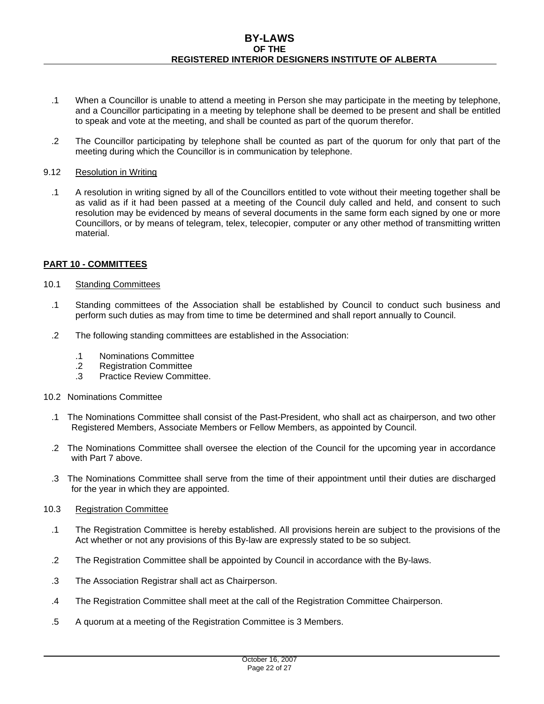- .1 When a Councillor is unable to attend a meeting in Person she may participate in the meeting by telephone, and a Councillor participating in a meeting by telephone shall be deemed to be present and shall be entitled to speak and vote at the meeting, and shall be counted as part of the quorum therefor.
- .2 The Councillor participating by telephone shall be counted as part of the quorum for only that part of the meeting during which the Councillor is in communication by telephone.

## 9.12 Resolution in Writing

.1 A resolution in writing signed by all of the Councillors entitled to vote without their meeting together shall be as valid as if it had been passed at a meeting of the Council duly called and held, and consent to such resolution may be evidenced by means of several documents in the same form each signed by one or more Councillors, or by means of telegram, telex, telecopier, computer or any other method of transmitting written material.

# **PART 10 - COMMITTEES**

- 10.1 Standing Committees
	- .1 Standing committees of the Association shall be established by Council to conduct such business and perform such duties as may from time to time be determined and shall report annually to Council.
	- .2 The following standing committees are established in the Association:
		- .1 Nominations Committee
		- .2 Registration Committee
		- .3 Practice Review Committee.
- 10.2 Nominations Committee
	- .1 The Nominations Committee shall consist of the Past-President, who shall act as chairperson, and two other Registered Members, Associate Members or Fellow Members, as appointed by Council.
	- .2 The Nominations Committee shall oversee the election of the Council for the upcoming year in accordance with Part 7 above.
	- .3 The Nominations Committee shall serve from the time of their appointment until their duties are discharged for the year in which they are appointed.
- 10.3 Registration Committee
	- .1 The Registration Committee is hereby established. All provisions herein are subject to the provisions of the Act whether or not any provisions of this By-law are expressly stated to be so subject.
	- .2 The Registration Committee shall be appointed by Council in accordance with the By-laws.
	- .3 The Association Registrar shall act as Chairperson.
	- .4 The Registration Committee shall meet at the call of the Registration Committee Chairperson.
	- .5 A quorum at a meeting of the Registration Committee is 3 Members.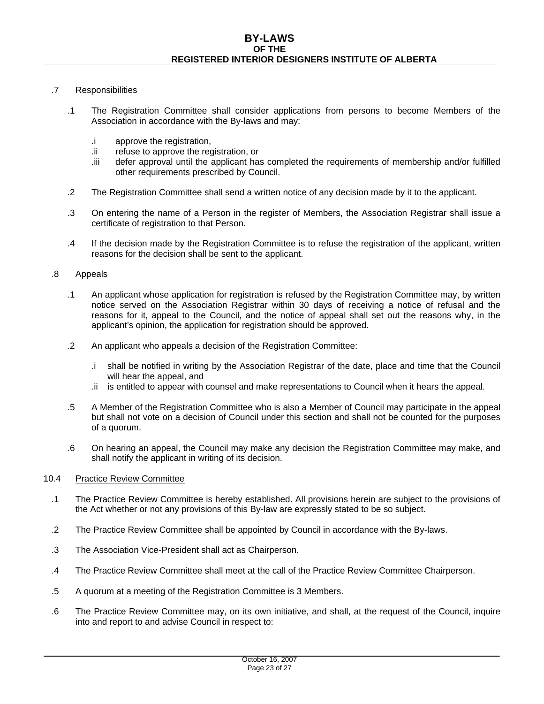# .7 Responsibilities

- .1 The Registration Committee shall consider applications from persons to become Members of the Association in accordance with the By-laws and may:
	- .i approve the registration,
	- .ii refuse to approve the registration, or
	- .iii defer approval until the applicant has completed the requirements of membership and/or fulfilled other requirements prescribed by Council.
- .2 The Registration Committee shall send a written notice of any decision made by it to the applicant.
- .3 On entering the name of a Person in the register of Members, the Association Registrar shall issue a certificate of registration to that Person.
- .4 If the decision made by the Registration Committee is to refuse the registration of the applicant, written reasons for the decision shall be sent to the applicant.

## .8 Appeals

- .1 An applicant whose application for registration is refused by the Registration Committee may, by written notice served on the Association Registrar within 30 days of receiving a notice of refusal and the reasons for it, appeal to the Council, and the notice of appeal shall set out the reasons why, in the applicant's opinion, the application for registration should be approved.
- .2 An applicant who appeals a decision of the Registration Committee:
	- .i shall be notified in writing by the Association Registrar of the date, place and time that the Council will hear the appeal, and
	- .ii is entitled to appear with counsel and make representations to Council when it hears the appeal.
- .5 A Member of the Registration Committee who is also a Member of Council may participate in the appeal but shall not vote on a decision of Council under this section and shall not be counted for the purposes of a quorum.
- .6 On hearing an appeal, the Council may make any decision the Registration Committee may make, and shall notify the applicant in writing of its decision.

# 10.4 Practice Review Committee

- .1 The Practice Review Committee is hereby established. All provisions herein are subject to the provisions of the Act whether or not any provisions of this By-law are expressly stated to be so subject.
- .2 The Practice Review Committee shall be appointed by Council in accordance with the By-laws.
- .3 The Association Vice-President shall act as Chairperson.
- .4 The Practice Review Committee shall meet at the call of the Practice Review Committee Chairperson.
- .5 A quorum at a meeting of the Registration Committee is 3 Members.
- .6 The Practice Review Committee may, on its own initiative, and shall, at the request of the Council, inquire into and report to and advise Council in respect to: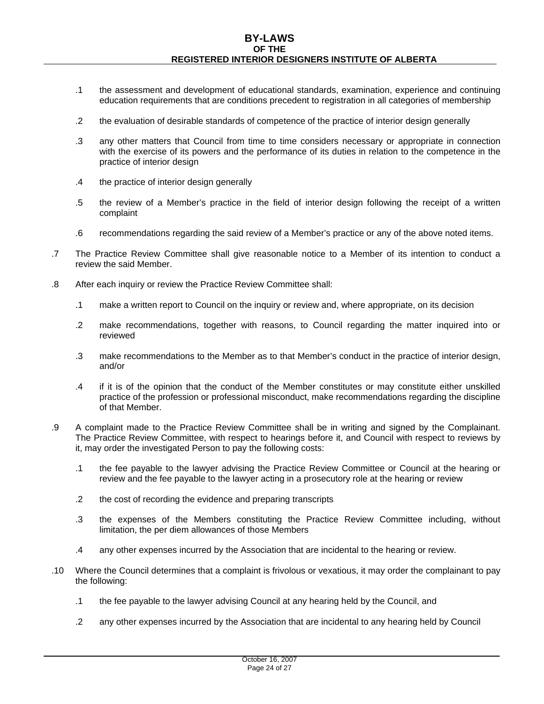- .1 the assessment and development of educational standards, examination, experience and continuing education requirements that are conditions precedent to registration in all categories of membership
- .2 the evaluation of desirable standards of competence of the practice of interior design generally
- .3 any other matters that Council from time to time considers necessary or appropriate in connection with the exercise of its powers and the performance of its duties in relation to the competence in the practice of interior design
- .4 the practice of interior design generally
- .5 the review of a Member's practice in the field of interior design following the receipt of a written complaint
- .6 recommendations regarding the said review of a Member's practice or any of the above noted items.
- .7 The Practice Review Committee shall give reasonable notice to a Member of its intention to conduct a review the said Member.
- .8 After each inquiry or review the Practice Review Committee shall:
	- .1 make a written report to Council on the inquiry or review and, where appropriate, on its decision
	- .2 make recommendations, together with reasons, to Council regarding the matter inquired into or reviewed
	- .3 make recommendations to the Member as to that Member's conduct in the practice of interior design, and/or
	- .4 if it is of the opinion that the conduct of the Member constitutes or may constitute either unskilled practice of the profession or professional misconduct, make recommendations regarding the discipline of that Member.
- .9 A complaint made to the Practice Review Committee shall be in writing and signed by the Complainant. The Practice Review Committee, with respect to hearings before it, and Council with respect to reviews by it, may order the investigated Person to pay the following costs:
	- .1 the fee payable to the lawyer advising the Practice Review Committee or Council at the hearing or review and the fee payable to the lawyer acting in a prosecutory role at the hearing or review
	- .2 the cost of recording the evidence and preparing transcripts
	- .3 the expenses of the Members constituting the Practice Review Committee including, without limitation, the per diem allowances of those Members
	- .4 any other expenses incurred by the Association that are incidental to the hearing or review.
- .10 Where the Council determines that a complaint is frivolous or vexatious, it may order the complainant to pay the following:
	- .1 the fee payable to the lawyer advising Council at any hearing held by the Council, and
	- .2 any other expenses incurred by the Association that are incidental to any hearing held by Council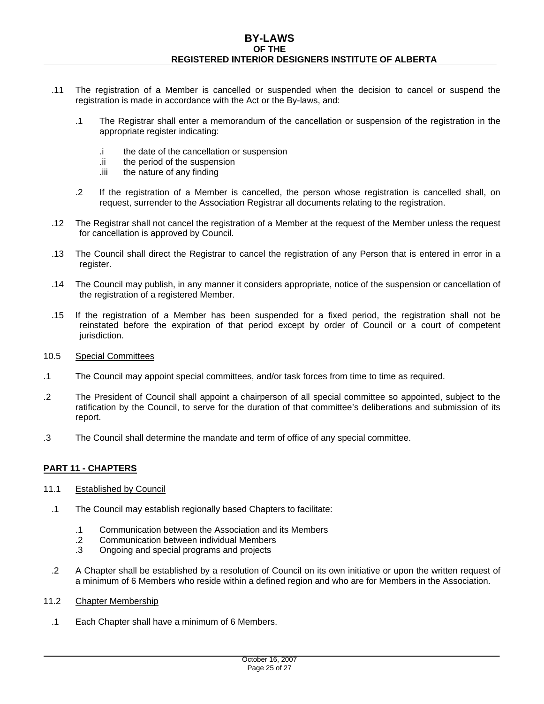- .11 The registration of a Member is cancelled or suspended when the decision to cancel or suspend the registration is made in accordance with the Act or the By-laws, and:
	- .1 The Registrar shall enter a memorandum of the cancellation or suspension of the registration in the appropriate register indicating:
		- .i the date of the cancellation or suspension
		- .ii the period of the suspension
		- .iii the nature of any finding
	- .2 If the registration of a Member is cancelled, the person whose registration is cancelled shall, on request, surrender to the Association Registrar all documents relating to the registration.
- .12 The Registrar shall not cancel the registration of a Member at the request of the Member unless the request for cancellation is approved by Council.
- .13 The Council shall direct the Registrar to cancel the registration of any Person that is entered in error in a register.
- .14 The Council may publish, in any manner it considers appropriate, notice of the suspension or cancellation of the registration of a registered Member.
- .15 If the registration of a Member has been suspended for a fixed period, the registration shall not be reinstated before the expiration of that period except by order of Council or a court of competent jurisdiction.
- 10.5 Special Committees
- .1 The Council may appoint special committees, and/or task forces from time to time as required.
- .2 The President of Council shall appoint a chairperson of all special committee so appointed, subject to the ratification by the Council, to serve for the duration of that committee's deliberations and submission of its report.
- .3 The Council shall determine the mandate and term of office of any special committee.

# **PART 11 - CHAPTERS**

- 11.1 Established by Council
	- .1 The Council may establish regionally based Chapters to facilitate:
		- .1 Communication between the Association and its Members
		- .2 Communication between individual Members
		- .3 Ongoing and special programs and projects
	- .2 A Chapter shall be established by a resolution of Council on its own initiative or upon the written request of a minimum of 6 Members who reside within a defined region and who are for Members in the Association.
- 11.2 Chapter Membership
	- .1 Each Chapter shall have a minimum of 6 Members.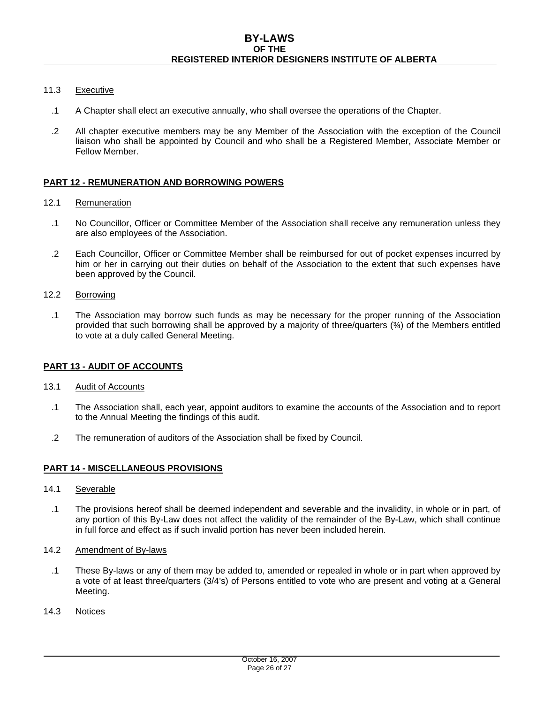## 11.3 Executive

- .1 A Chapter shall elect an executive annually, who shall oversee the operations of the Chapter.
- .2 All chapter executive members may be any Member of the Association with the exception of the Council liaison who shall be appointed by Council and who shall be a Registered Member, Associate Member or Fellow Member.

# **PART 12 - REMUNERATION AND BORROWING POWERS**

- 12.1 Remuneration
	- .1 No Councillor, Officer or Committee Member of the Association shall receive any remuneration unless they are also employees of the Association.
	- .2 Each Councillor, Officer or Committee Member shall be reimbursed for out of pocket expenses incurred by him or her in carrying out their duties on behalf of the Association to the extent that such expenses have been approved by the Council.
- 12.2 Borrowing
	- .1 The Association may borrow such funds as may be necessary for the proper running of the Association provided that such borrowing shall be approved by a majority of three/quarters (¾) of the Members entitled to vote at a duly called General Meeting.

# **PART 13 - AUDIT OF ACCOUNTS**

- 13.1 Audit of Accounts
	- .1 The Association shall, each year, appoint auditors to examine the accounts of the Association and to report to the Annual Meeting the findings of this audit.
	- .2 The remuneration of auditors of the Association shall be fixed by Council.

# **PART 14 - MISCELLANEOUS PROVISIONS**

- 14.1 Severable
	- .1 The provisions hereof shall be deemed independent and severable and the invalidity, in whole or in part, of any portion of this By-Law does not affect the validity of the remainder of the By-Law, which shall continue in full force and effect as if such invalid portion has never been included herein.
- 14.2 Amendment of By-laws
	- .1 These By-laws or any of them may be added to, amended or repealed in whole or in part when approved by a vote of at least three/quarters (3/4's) of Persons entitled to vote who are present and voting at a General Meeting.
- 14.3 Notices